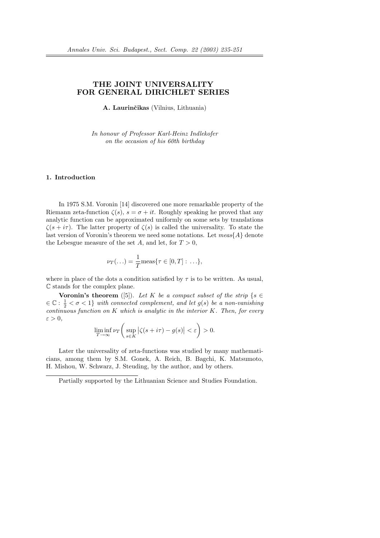# THE JOINT UNIVERSALITY FOR GENERAL DIRICHLET SERIES

A. Laurinčikas (Vilnius, Lithuania)

In honour of Professor Karl-Heinz Indlekofer on the occasion of his 60th birthday

### 1. Introduction

In 1975 S.M. Voronin [14] discovered one more remarkable property of the Riemann zeta-function  $\zeta(s)$ ,  $s = \sigma + it$ . Roughly speaking he proved that any analytic function can be approximated uniformly on some sets by translations  $\zeta(s + i\tau)$ . The latter property of  $\zeta(s)$  is called the universality. To state the last version of Voronin's theorem we need some notations. Let  $meas{A}$  denote the Lebesgue measure of the set A, and let, for  $T > 0$ ,

$$
\nu_T(\ldots) = \frac{1}{T} \text{meas}\{\tau \in [0, T] : \ldots\},\
$$

where in place of the dots a condition satisfied by  $\tau$  is to be written. As usual, C stands for the complex plane.

**Voronin's theorem** ([5]). Let K be a compact subset of the strip  $\{s \in \mathbb{R}\}$  $\in \mathbb{C}: \frac{1}{2} < \sigma < 1$  with connected complement, and let  $g(s)$  be a non-vanishing continuous function on  $K$  which is analytic in the interior  $K$ . Then, for every  $\varepsilon > 0$ ,  $\overline{a}$ 

$$
\liminf_{T \to \infty} \nu_T \left( \sup_{s \in K} \left| \zeta(s + i\tau) - g(s) \right| < \varepsilon \right) > 0.
$$

Later the universality of zeta-functions was studied by many mathematicians, among them by S.M. Gonek, A. Reich, B. Bagchi, K. Matsumoto, H. Mishou, W. Schwarz, J. Steuding, by the author, and by others.

Partially supported by the Lithuanian Science and Studies Foundation.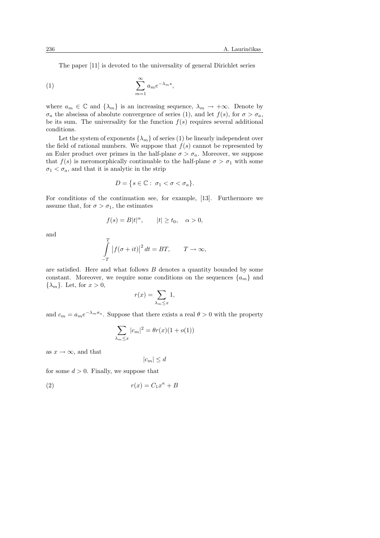The paper [11] is devoted to the universality of general Dirichlet series

$$
(1) \qquad \sum_{m=1}^{\infty} a_m e^{-\lambda_m s},
$$

where  $a_m \in \mathbb{C}$  and  $\{\lambda_m\}$  is an increasing sequence,  $\lambda_m \to +\infty$ . Denote by  $\sigma_a$  the abscissa of absolute convergence of series (1), and let  $f(s)$ , for  $\sigma > \sigma_a$ , be its sum. The universality for the function  $f(s)$  requires several additional conditions.

Let the system of exponents  $\{\lambda_m\}$  of series (1) be linearly independent over the field of rational numbers. We suppose that  $f(s)$  cannot be represented by an Euler product over primes in the half-plane  $\sigma > \sigma_a$ . Moreover, we suppose that  $f(s)$  is meromorphically continuable to the half-plane  $\sigma > \sigma_1$  with some  $\sigma_1 < \sigma_a$ , and that it is analytic in the strip

$$
D = \{ s \in \mathbb{C} : \sigma_1 < \sigma < \sigma_a \}.
$$

For conditions of the continuation see, for example, [13]. Furthermore we assume that, for  $\sigma > \sigma_1$ , the estimates

$$
f(s) = B|t|^{\alpha}, \qquad |t| \ge t_0, \quad \alpha > 0,
$$

and

$$
\int_{-T}^{T} |f(\sigma + it)|^2 dt = BT, \qquad T \to \infty,
$$

are satisfied. Here and what follows  $B$  denotes a quantity bounded by some constant. Moreover, we require some conditions on the sequences  $\{a_m\}$  and  $\{\lambda_m\}$ . Let, for  $x > 0$ ,

$$
r(x) = \sum_{\lambda_m \le x} 1,
$$

and  $c_m = a_m e^{-\lambda_m \sigma_a}$ . Suppose that there exists a real  $\theta > 0$  with the property

$$
\sum_{\lambda_m \le x} |c_m|^2 = \theta r(x)(1 + o(1))
$$

as  $x \to \infty$ , and that

 $|c_m| \leq d$ 

for some  $d > 0$ . Finally, we suppose that

$$
(2) \t\t\t r(x) = C_1 x^{\kappa} + B
$$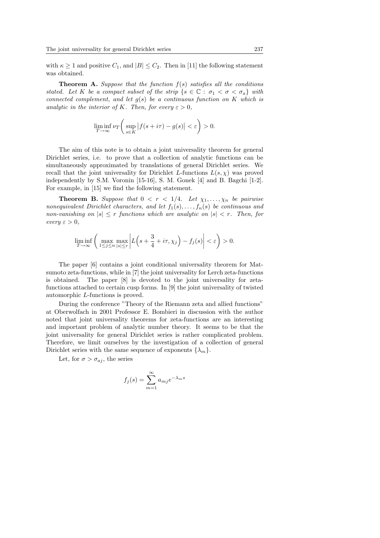with  $\kappa \geq 1$  and positive  $C_1$ , and  $|B| \leq C_2$ . Then in [11] the following statement was obtained.

**Theorem A.** Suppose that the function  $f(s)$  satisfies all the conditions stated. Let K be a compact subset of the strip  $\{s \in \mathbb{C} : \sigma_1 < \sigma < \sigma_a\}$  with connected complement, and let  $g(s)$  be a continuous function on K which is analytic in the interior of K. Then, for every  $\varepsilon > 0$ .

$$
\liminf_{T \to \infty} \nu_T \left( \sup_{s \in K} |f(s + i\tau) - g(s)| < \varepsilon \right) > 0.
$$

The aim of this note is to obtain a joint universality theorem for general Dirichlet series, i.e. to prove that a collection of analytic functions can be simultaneously approximated by translations of general Dirichlet series. We recall that the joint universality for Dirichlet L-functions  $L(s, \chi)$  was proved independently by S.M. Voronin [15-16], S. M. Gonek [4] and B. Bagchi [1-2]. For example, in [15] we find the following statement.

**Theorem B.** Suppose that  $0 < r < 1/4$ . Let  $\chi_1, \ldots, \chi_n$  be pairwise nonequivalent Dirichlet characters, and let  $f_1(s), \ldots, f_n(s)$  be continuous and non-vanishing on  $|s| \leq r$  functions which are analytic on  $|s| < r$ . Then, for every  $\varepsilon > 0$ ,

$$
\liminf_{T \to \infty} \left( \max_{1 \le j \le n} \max_{|s| \le r} \left| L \left( s + \frac{3}{4} + i \tau, \chi_j \right) - f_j(s) \right| < \varepsilon \right) > 0.
$$

The paper [6] contains a joint conditional universality theorem for Matsumoto zeta-functions, while in [7] the joint universality for Lerch zeta-functions is obtained. The paper [8] is devoted to the joint universality for zetafunctions attached to certain cusp forms. In [9] the joint universality of twisted automorphic L-functions is proved.

During the conference "Theory of the Riemann zeta and allied functions" at Oberwolfach in 2001 Professor E. Bombieri in discussion with the author noted that joint universality theorems for zeta-functions are an interesting and important problem of analytic number theory. It seems to be that the joint universality for general Dirichlet series is rather complicated problem. Therefore, we limit ourselves by the investigation of a collection of general Dirichlet series with the same sequence of exponents  $\{\lambda_m\}$ .

Let, for  $\sigma > \sigma_{ai}$ , the series

$$
f_j(s) = \sum_{m=1}^{\infty} a_{mj} e^{-\lambda_m s}
$$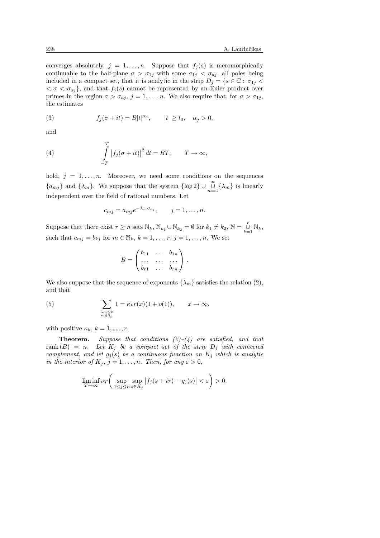converges absolutely,  $j = 1, ..., n$ . Suppose that  $f_j(s)$  is meromorphically continuable to the half-plane  $\sigma > \sigma_{1j}$  with some  $\sigma_{1j} < \sigma_{aj}$ , all poles being included in a compact set, that it is analytic in the strip  $D_j = \{s \in \mathbb{C} : \sigma_{1j} <$  $\langle \sigma \rangle \langle \sigma_{aj} \rangle$ , and that  $f_j(s)$  cannot be represented by an Euler product over primes in the region  $\sigma > \sigma_{aj}$ ,  $j = 1, \ldots, n$ . We also require that, for  $\sigma > \sigma_{1j}$ , the estimates

(3) 
$$
f_j(\sigma + it) = B|t|^{\alpha_j}, \qquad |t| \ge t_0, \quad \alpha_j > 0,
$$

and

(4) 
$$
\int_{-T}^{T} |f_j(\sigma + it)|^2 dt = BT, \qquad T \to \infty,
$$

hold,  $j = 1, \ldots, n$ . Moreover, we need some conditions on the sequences  $\{a_{mj}\}\$  and  $\{\lambda_m\}$ . We suppose that the system  $\{\log 2\} \cup \bigcup_{m=1}^{\infty} \{\lambda_m\}$  is linearly independent over the field of rational numbers. Let

$$
c_{mj} = a_{mj}e^{-\lambda_m \sigma_{aj}}, \qquad j = 1, \ldots, n.
$$

Suppose that there exist  $r \ge n$  sets  $\mathbb{N}_k$ ,  $\mathbb{N}_{k_1} \cup \mathbb{N}_{k_2} = \emptyset$  for  $k_1 \ne k_2$ ,  $\mathbb{N} = \bigcup_{k=1}^r \mathbb{N}_k$ , such that  $c_{mj} = b_{kj}$  for  $m \in \mathbb{N}_k$ ,  $k = 1, \ldots, r$ ,  $j = 1, \ldots, n$ . We set

$$
B = \begin{pmatrix} b_{11} & \dots & b_{1n} \\ \dots & \dots & \dots \\ b_{r1} & \dots & b_{rn} \end{pmatrix}.
$$

We also suppose that the sequence of exponents  $\{\lambda_m\}$  satisfies the relation (2), and that

(5) 
$$
\sum_{\substack{\lambda_m \leq x \\ m \in \mathbb{N}_k}} 1 = \kappa_k r(x) (1 + o(1)), \qquad x \to \infty,
$$

with positive  $\kappa_k$ ,  $k = 1, \ldots, r$ .

**Theorem.** Suppose that conditions  $(2)-(4)$  are satisfied, and that rank  $(B) = n$ . Let  $K_j$  be a compact set of the strip  $D_j$  with connected complement, and let  $g_j(s)$  be a continuous function on  $K_j$  which is analytic in the interior of  $K_j$ ,  $j = 1, ..., n$ . Then, for any  $\varepsilon > 0$ ,

$$
\liminf_{T \to \infty} \nu_T \left( \sup_{1 \le j \le n} \sup_{s \in K_j} |f_j(s + i\tau) - g_j(s)| < \varepsilon \right) > 0.
$$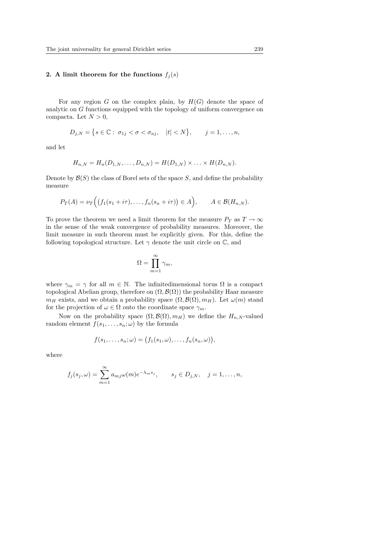### 2. A limit theorem for the functions  $f_i(s)$

For any region G on the complex plain, by  $H(G)$  denote the space of analytic on G functions equipped with the topology of uniform convergence on compacta. Let  $N > 0$ ,

$$
D_{j,N} = \big\{ s \in \mathbb{C} : \sigma_{1j} < \sigma < \sigma_{aj}, \quad |t| < N \big\}, \qquad j = 1, \ldots, n,
$$

and let

$$
H_{n,N} = H_n(D_{1,N}, \dots, D_{n,N}) = H(D_{1,N}) \times \dots \times H(D_{n,N}).
$$

Denote by  $\mathcal{B}(S)$  the class of Borel sets of the space S, and define the probability measure

$$
P_T(A) = \nu_T\Big(\big(f_1(s_1+i\tau),\ldots,f_n(s_n+i\tau)\big) \in A\Big), \qquad A \in \mathcal{B}(H_{n,N}).
$$

To prove the theorem we need a limit theorem for the measure  $P_T$  as  $T \to \infty$ in the sense of the weak convergence of probability measures. Moreover, the limit measure in such theorem must be explicitly given. For this, define the following topological structure. Let  $\gamma$  denote the unit circle on  $\mathbb{C}$ , and

$$
\Omega = \prod_{m=1}^{\infty} \gamma_m,
$$

where  $\gamma_m = \gamma$  for all  $m \in \mathbb{N}$ . The infinitedimensional torus  $\Omega$  is a compact topological Abelian group, therefore on  $(\Omega, \mathcal{B}(\Omega))$  the probability Haar measure  $m_H$  exists, and we obtain a probability space  $(\Omega, \mathcal{B}(\Omega), m_H)$ . Let  $\omega(m)$  stand for the projection of  $\omega \in \Omega$  onto the coordinate space  $\gamma_m$ .

Now on the probability space  $(\Omega, \mathcal{B}(\Omega), m_H)$  we define the  $H_{n,N}$ -valued random element  $f(s_1, \ldots, s_n; \omega)$  by the formula

$$
f(s_1,\ldots,s_n;\omega) = (f_1(s_1,\omega),\ldots,f_n(s_n,\omega)),
$$

where

$$
f_j(s_j,\omega)=\sum_{m=1}^{\infty}a_{mj}\omega(m)e^{-\lambda_m s_j}, \qquad s_j\in D_{j,N}, \quad j=1,\ldots,n,
$$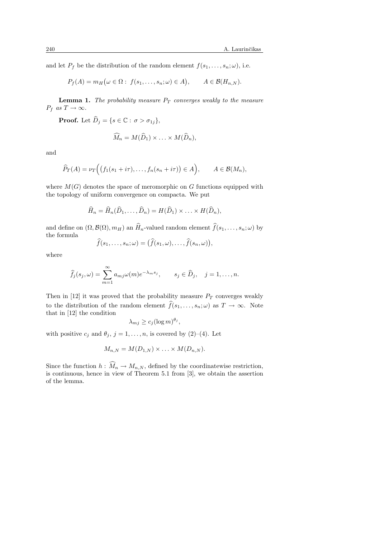and let  $P_f$  be the distribution of the random element  $f(s_1, \ldots, s_n; \omega)$ , i.e.

$$
P_f(A) = m_H(\omega \in \Omega: f(s_1, \ldots, s_n; \omega) \in A), \qquad A \in \mathcal{B}(H_{n,N}).
$$

**Lemma 1.** The probability measure  $P_T$  converges weakly to the measure  $P_f$  as  $T \to \infty$ .

**Proof.** Let  $\widehat{D}_i = \{s \in \mathbb{C} : \sigma > \sigma_{1i}\},\$ 

$$
\widehat{M}_n = M(\widehat{D}_1) \times \ldots \times M(\widehat{D}_n),
$$

and

$$
\widehat{P}_T(A) = \nu_T \Big( \big( f_1(s_1 + i\tau), \dots, f_n(s_n + i\tau) \big) \in A \Big), \qquad A \in \mathcal{B}(M_n),
$$

where  $M(G)$  denotes the space of meromorphic on G functions equipped with the topology of uniform convergence on compacta. We put

$$
\widehat{H}_n = \widehat{H}_n(\widehat{D}_1, \dots, \widehat{D}_n) = H(\widehat{D}_1) \times \dots \times H(\widehat{D}_n),
$$

and define on  $(\Omega, \mathcal{B}(\Omega), m_H)$  an  $\widehat{H}_n$ -valued random element  $\widehat{f}(s_1, \ldots, s_n; \omega)$  by the formula ¢

$$
\widehat{f}(s_1,\ldots,s_n;\omega)=(\widehat{f}(s_1,\omega),\ldots,\widehat{f}(s_n,\omega)),
$$

where

$$
\widehat{f}_j(s_j,\omega)=\sum_{m=1}^{\infty}a_{mj}\omega(m)e^{-\lambda_m s_j}, \qquad s_j\in\widehat{D}_j, \quad j=1,\ldots,n.
$$

Then in [12] it was proved that the probability measure  $P_T$  converges weakly to the distribution of the random element  $\widehat{f}(s_1, \ldots, s_n; \omega)$  as  $T \to \infty$ . Note that in [12] the condition

$$
\lambda_{mj} \ge c_j (\log m)^{\theta_j},
$$

with positive  $c_j$  and  $\theta_j$ ,  $j = 1, \ldots, n$ , is covered by (2)–(4). Let

$$
M_{n,N} = M(D_{1,N}) \times \ldots \times M(D_{n,N}).
$$

Since the function  $h: \widehat{M}_n \to M_{n,N}$ , defined by the coordinatewise restriction, is continuous, hence in view of Theorem 5.1 from [3], we obtain the assertion of the lemma.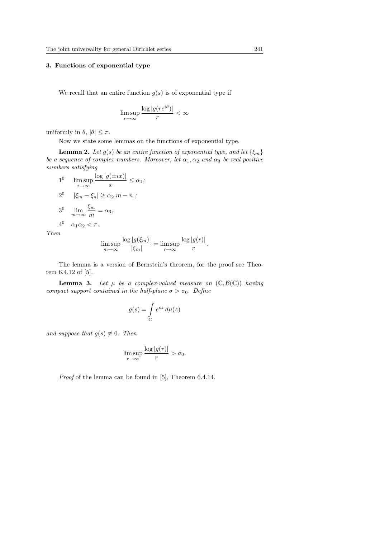### 3. Functions of exponential type

We recall that an entire function  $q(s)$  is of exponential type if

$$
\limsup_{r\to\infty} \frac{\log|g(re^{i\theta})|}{r} < \infty
$$

uniformly in  $\theta$ ,  $|\theta| \leq \pi$ .

Now we state some lemmas on the functions of exponential type.

**Lemma 2.** Let  $g(s)$  be an entire function of exponential type, and let  $\{\xi_m\}$ be a sequence of complex numbers. Moreover, let  $\alpha_1, \alpha_2$  and  $\alpha_3$  be real positive numbers satisfying

1 0  $\limsup_{x\to\infty}$  $\log |g(\pm ix)|$  $\frac{\left(\frac{1}{2}i\omega\right)}{x} \leq \alpha_1;$ 2<sup>0</sup>  $|\xi_m - \xi_n| \ge \alpha_2 |m - n|;$ 3<sup>0</sup>  $\lim_{m \to \infty} \frac{\xi_m}{m}$  $\frac{1}{m} = \alpha_3;$  $4^0$   $\alpha_1 \alpha_2 < \pi$ .

Then

$$
\limsup_{m \to \infty} \frac{\log |g(\xi_m)|}{|\xi_m|} = \limsup_{r \to \infty} \frac{\log |g(r)|}{r}.
$$

The lemma is a version of Bernstein's theorem, for the proof see Theorem 6.4.12 of [5].

**Lemma 3.** Let  $\mu$  be a complex-valued measure on  $(\mathbb{C}, \mathcal{B}(\mathbb{C}))$  having compact support contained in the half-plane  $\sigma > \sigma_0$ . Define

$$
g(s) = \int\limits_{\mathbb{C}} e^{sz} \, d\mu(z)
$$

and suppose that  $g(s) \not\equiv 0$ . Then

$$
\limsup_{r \to \infty} \frac{\log |g(r)|}{r} > \sigma_0.
$$

Proof of the lemma can be found in [5], Theorem 6.4.14.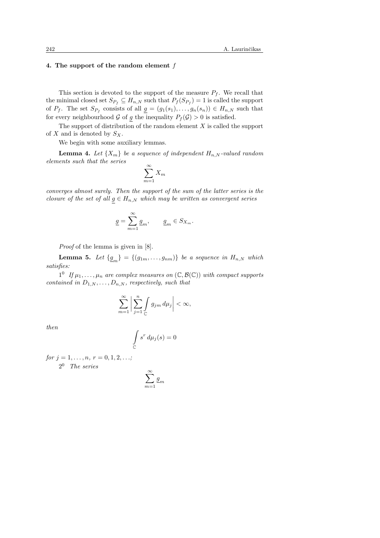## 4. The support of the random element f

This section is devoted to the support of the measure  $P_f$ . We recall that the minimal closed set  $S_{P_f} \subseteq H_{n,N}$  such that  $P_f(S_{P_f}) = 1$  is called the support of  $P_f$ . The set  $S_{P_f}$  consists of all  $g = (g_1(s_1), \ldots, g_n(s_n)) \in H_{n,N}$  such that for every neighbourhood G of g the inequality  $P_f(\mathcal{G}) > 0$  is satisfied.

The support of distribution of the random element  $X$  is called the support of X and is denoted by  $S_X$ .

We begin with some auxiliary lemmas.

**Lemma 4.** Let  $\{X_m\}$  be a sequence of independent  $H_{n,N}$ -valued random elements such that the series

$$
\sum_{m=1}^{\infty} X_m
$$

converges almost surely. Then the support of the sum of the latter series is the closure of the set of all  $g \in H_{n,N}$  which may be written as convergent series

$$
\underline{g} = \sum_{m=1}^{\infty} \underline{g}_m, \qquad \underline{g}_m \in S_{X_m}.
$$

Proof of the lemma is given in [8].

**Lemma 5.** Let  $\{g_m\} = \{(g_{1m}, \ldots, g_{nm})\}$  be a sequence in  $H_{n,N}$  which satisfies:

 $1^0$  If  $\mu_1, \ldots, \mu_n$  are complex measures on  $(\mathbb{C}, \mathcal{B}(\mathbb{C}))$  with compact supports contained in  $D_{1,N}, \ldots, D_{n,N}$ , respectively, such that

$$
\sum_{m=1}^{\infty} \left| \sum_{j=1}^{n} \int_{\mathbb{C}} g_{jm} \, d\mu_j \right| < \infty,
$$

then

$$
\int\limits_{\mathbb C} s^r \, d\mu_j(s) = 0
$$

for  $j = 1, \ldots, n, r = 0, 1, 2, \ldots;$ 

2 <sup>0</sup> The series

$$
\sum_{m=1}^\infty \underline{g}_m
$$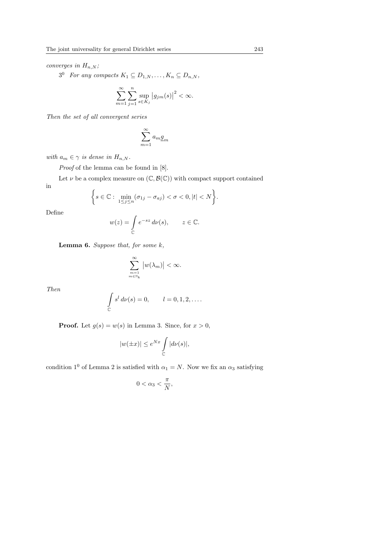converges in  $H_{n,N}$ ;

 $3^0$  For any compacts  $K_1 \subseteq D_{1,N}, \ldots, K_n \subseteq D_{n,N}$ ,

$$
\sum_{m=1}^{\infty} \sum_{j=1}^{n} \sup_{s \in K_j} |g_{jm}(s)|^2 < \infty.
$$

Then the set of all convergent series

$$
\sum_{m=1}^\infty a_m \underline{g}_m
$$

with  $a_m \in \gamma$  is dense in  $H_{n,N}$ .

Proof of the lemma can be found in [8].

Let  $\nu$  be a complex measure on  $(\mathbb{C}, \mathcal{B}(\mathbb{C}))$  with compact support contained in ½

$$
\bigg\{s\in\mathbb{C}:\ \min_{1\leq j\leq n}(\sigma_{1j}-\sigma_{aj})<\sigma<0, |t|
$$

Define

$$
w(z) = \int_{\mathbb{C}} e^{-sz} \, d\nu(s), \qquad z \in \mathbb{C}.
$$

**Lemma 6.** Suppose that, for some  $k$ ,

$$
\sum_{m=1 \atop m\in\mathbb{N}_k}^\infty \big|w(\lambda_m)\big|<\infty.
$$

Then

$$
\int_{\mathbb{C}} s^l d\nu(s) = 0, \qquad l = 0, 1, 2, \dots
$$

**Proof.** Let  $g(s) = w(s)$  in Lemma 3. Since, for  $x > 0$ ,

$$
|w(\pm x)| \le e^{Nx} \int\limits_{\mathbb{C}} |d\nu(s)|,
$$

condition 1<sup>0</sup> of Lemma 2 is satisfied with  $\alpha_1 = N$ . Now we fix an  $\alpha_3$  satisfying

$$
0<\alpha_3<\frac{\pi}{N},
$$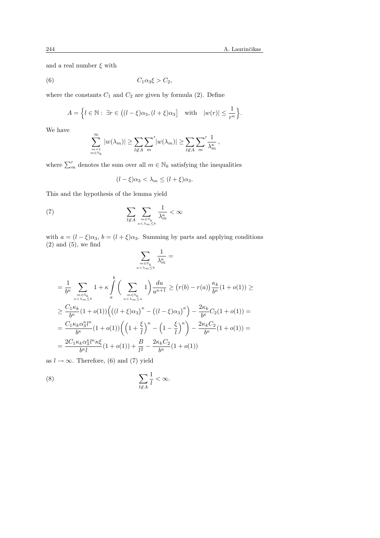and a real number  $\xi$  with

$$
(6) \tC1\alpha3\xi > C2,
$$

where the constants  $C_1$  and  $C_2$  are given by formula (2). Define

$$
A = \left\{ l \in \mathbb{N} : \exists r \in \left( (l - \xi)\alpha_3, (l + \xi)\alpha_3 \right] \quad \text{with} \quad |w(r)| \le \frac{1}{r^{\kappa}} \right\}.
$$

We have

$$
\sum_{m=1 \atop m \in \mathbb{N}_k}^{\infty} |w(\lambda_m)| \geq \sum_{l \notin A} \sum_{m}^{\prime} |w(\lambda_m)| \geq \sum_{l \notin A} \sum_{m}^{\prime} \frac{1}{\lambda_m^{\kappa}},
$$

where  $\sum'_m$  denotes the sum over all  $m \in \mathbb{N}_k$  satisfying the inequalities

$$
(l - \xi)\alpha_3 < \lambda_m \le (l + \xi)\alpha_3.
$$

This and the hypothesis of the lemma yield

(7) 
$$
\sum_{l \not\in A} \sum_{m \in \mathbb{N}_k \atop \alpha < \lambda_m \leq b} \frac{1}{\lambda_m^{\kappa}} < \infty
$$

with  $a = (l - \xi)\alpha_3$ ,  $b = (l + \xi)\alpha_3$ . Summing by parts and applying conditions  $(2)$  and  $(5)$ , we find  $\overline{\phantom{a}}$ 

$$
\sum_{m \in \mathbb{N}_k \atop a < \lambda_m \le b} \frac{1}{\lambda_m^{\kappa}} =
$$
\n
$$
= \frac{1}{b^{\kappa}} \sum_{m \in \mathbb{N}_k \atop a < \lambda_m \le b} 1 + \kappa \int_a^b \left( \sum_{m \in \mathbb{N}_k \atop a < \lambda_m \le u} 1 \right) \frac{du}{u^{\kappa+1}} \ge (r(b) - r(a)) \frac{\kappa_k}{b^{\kappa}} (1 + o(1)) \ge
$$
\n
$$
\ge \frac{C_1 \kappa_k}{b^{\kappa}} (1 + o(1)) \Big( \left( (l + \xi) \alpha_3 \right)^{\kappa} - \left( (l - \xi) \alpha_3 \right)^{\kappa} \Big) - \frac{2\kappa_k}{b^{\kappa}} C_2 (1 + o(1)) =
$$
\n
$$
= \frac{C_1 \kappa_k \alpha_3^{\kappa} l^{\kappa}}{b^{\kappa}} (1 + o(1)) \left( \left( 1 + \frac{\xi}{l} \right)^{\kappa} - \left( 1 - \frac{\xi}{l} \right)^{\kappa} \right) - \frac{2\kappa_k C_2}{b^{\kappa}} (1 + o(1)) =
$$
\n
$$
= \frac{2C_1 \kappa_k \alpha_3^{\kappa} l^{\kappa} \kappa \xi}{b^{\kappa} l} (1 + o(1)) + \frac{B}{l^2} - \frac{2\kappa_k C_2}{b^{\kappa}} (1 + o(1))
$$

as  $l \to \infty$ . Therefore, (6) and (7) yield

$$
\sum_{l \not\in A} \frac{1}{l} < \infty.
$$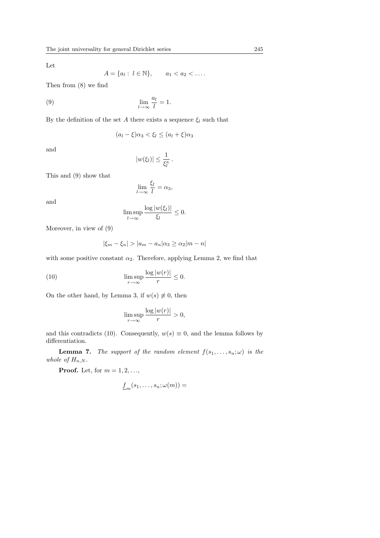Let

$$
A = \{a_l : l \in \mathbb{N}\}, \qquad a_1 < a_2 < \dots
$$

Then from (8) we find

(9) 
$$
\lim_{l \to \infty} \frac{a_l}{l} = 1.
$$

By the definition of the set A there exists a sequence  $\xi_l$  such that

$$
(a_l - \xi)\alpha_3 < \xi_l \le (a_l + \xi)\alpha_3
$$

and

$$
|w(\xi_l)| \leq \frac{1}{\xi_l^{\kappa}}.
$$

This and (9) show that

$$
\lim_{l \to \infty} \frac{\xi_l}{l} = \alpha_3,
$$

and

$$
\limsup_{l\to\infty}\frac{\log|w(\xi_l)|}{\xi_l}\leq 0.
$$

Moreover, in view of (9)

$$
|\xi_m - \xi_n| > |a_m - a_n| \alpha_3 \ge \alpha_2 |m - n|
$$

with some positive constant  $\alpha_2$ . Therefore, applying Lemma 2, we find that

(10) 
$$
\limsup_{r \to \infty} \frac{\log |w(r)|}{r} \leq 0.
$$

On the other hand, by Lemma 3, if  $w(s) \neq 0$ , then

$$
\limsup_{r \to \infty} \frac{\log |w(r)|}{r} > 0,
$$

and this contradicts (10). Consequently,  $w(s) \equiv 0$ , and the lemma follows by differentiation.

**Lemma 7.** The support of the random element  $f(s_1, \ldots, s_n; \omega)$  is the whole of  $H_{n,N}$ .

**Proof.** Let, for  $m = 1, 2, \ldots$ ,

$$
\underline{f}_m(s_1,\ldots,s_n;\omega(m)) =
$$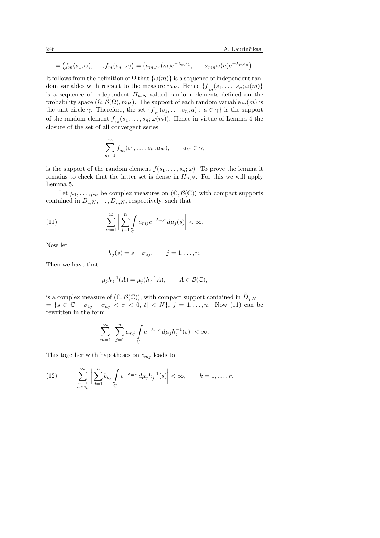$$
= (f_m(s_1,\omega),\ldots,f_m(s_n,\omega)) = (a_{m1}\omega(m)e^{-\lambda_m s_1},\ldots,a_{mn}\omega(n)e^{-\lambda_m s_n}).
$$

It follows from the definition of  $\Omega$  that  $\{\omega(m)\}\$ is a sequence of independent random variables with respect to the measure  $m_H$ . Hence  $\{\underline{f}_m(s_1,\ldots,s_n;\omega(m)\}\$ is a sequence of independent  $H_{n,N}$ -valued random elements defined on the probability space  $(\Omega, \mathcal{B}(\Omega), m_H)$ . The support of each random variable  $\omega(m)$  is the unit circle  $\gamma$ . Therefore, the set  $\{\underline{f}_m(s_1,\ldots,s_n;a): a \in \gamma\}$  is the support of the random element  $\underline{f}_m(s_1,\ldots,s_n;\omega(m))$ . Hence in virtue of Lemma 4 the closure of the set of all convergent series

$$
\sum_{m=1}^{\infty} \underline{f}_m(s_1, \dots, s_n; a_m), \qquad a_m \in \gamma,
$$

is the support of the random element  $f(s_1, \ldots, s_n; \omega)$ . To prove the lemma it remains to check that the latter set is dense in  $H_{n,N}$ . For this we will apply Lemma 5.

Let  $\mu_1, \ldots, \mu_n$  be complex measures on  $(\mathbb{C}, \mathcal{B}(\mathbb{C}))$  with compact supports contained in  $D_{1,N}, \ldots, D_{n,N}$ , respectively, such that

(11) 
$$
\sum_{m=1}^{\infty} \left| \sum_{j=1}^{n} \int_{\mathbb{C}} a_{mj} e^{-\lambda_m s} d\mu_j(s) \right| < \infty.
$$

Now let

$$
h_j(s) = s - \sigma_{aj}, \qquad j = 1, \ldots, n.
$$

Then we have that

$$
\mu_j h_j^{-1}(A) = \mu_j (h_j^{-1}A), \qquad A \in \mathcal{B}(\mathbb{C}),
$$

is a complex measure of  $(\mathbb{C}, \mathcal{B}(\mathbb{C}))$ , with compact support contained in  $\widehat{D}_{i,N} =$  $= {s \in \mathbb{C} : σ_{1j} − σ_{aj} < σ < 0, |t| < N}, j = 1, ..., n.$  Now (11) can be rewritten in the form

$$
\sum_{m=1}^{\infty}\bigg|\sum_{j=1}^{n}c_{mj}\int\limits_{\mathbb C}e^{-\lambda_m s}\,d\mu_jh_j^{-1}(s)\bigg|<\infty.
$$

This together with hypotheses on  $c_{mj}$  leads to

(12) 
$$
\sum_{\substack{m=1 \ m \in \mathbb{N}_k}}^{\infty} \left| \sum_{j=1}^n b_{kj} \int_{\mathbb{C}} e^{-\lambda_m s} d\mu_j h_j^{-1}(s) \right| < \infty, \qquad k = 1, \ldots, r.
$$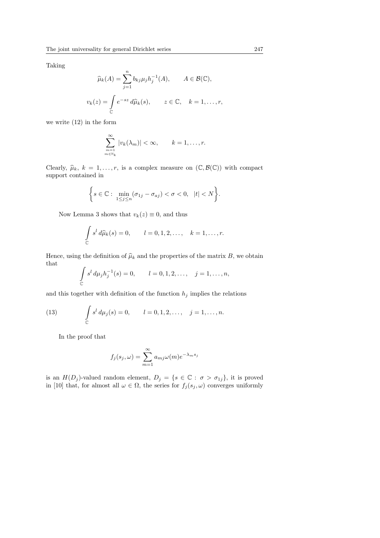Taking

$$
\widehat{\mu}_k(A) = \sum_{j=1}^n b_{kj} \mu_j h_j^{-1}(A), \qquad A \in \mathcal{B}(\mathbb{C}),
$$
  

$$
v_k(z) = \int_{\mathbb{C}} e^{-sz} d\widehat{\mu}_k(s), \qquad z \in \mathbb{C}, \quad k = 1, \dots, r,
$$

we write (12) in the form

$$
\sum_{\substack{m=1 \ m \in \mathbb{N}_k}}^{\infty} |v_k(\lambda_m)| < \infty, \qquad k = 1, \ldots, r.
$$

Clearly,  $\hat{\mu}_k$ ,  $k = 1, \ldots, r$ , is a complex measure on  $(\mathbb{C}, \mathcal{B}(\mathbb{C}))$  with compact support contained in

$$
\bigg\{s\in\mathbb{C}:\ \min_{1\leq j\leq n}(\sigma_{1j}-\sigma_{aj})<\sigma<0,\ \ |t|
$$

Now Lemma 3 shows that  $v_k(z) \equiv 0$ , and thus

$$
\int\limits_{\mathbb{C}} s^l d\widehat{\mu}_k(s) = 0, \qquad l = 0, 1, 2, \dots, \quad k = 1, \dots, r.
$$

Hence, using the definition of  $\hat{\mu}_k$  and the properties of the matrix B, we obtain that

$$
\int_{\mathbb{C}} s^l \, d\mu_j h_j^{-1}(s) = 0, \qquad l = 0, 1, 2, \dots, \quad j = 1, \dots, n,
$$

and this together with definition of the function  $h_j$  implies the relations

(13) 
$$
\int_{\mathbb{C}} s^l d\mu_j(s) = 0, \qquad l = 0, 1, 2, \dots, \quad j = 1, \dots, n.
$$

In the proof that

$$
f_j(s_j, \omega) = \sum_{m=1}^{\infty} a_{mj} \omega(m) e^{-\lambda_m s_j}
$$

is an  $H(D_j)$ -valued random element,  $D_j = \{s \in \mathbb{C} : \sigma > \sigma_{1j}\}\$ , it is proved in [10] that, for almost all  $\omega \in \Omega$ , the series for  $f_j(s_j, \omega)$  converges uniformly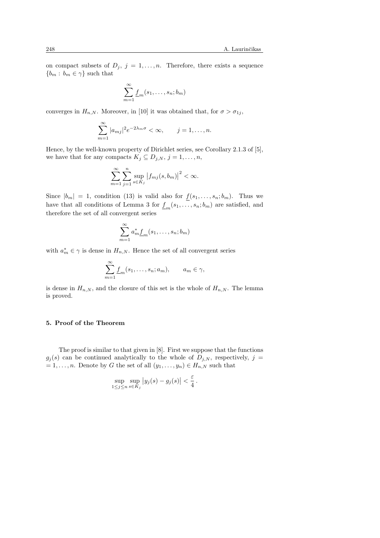on compact subsets of  $D_j$ ,  $j = 1, ..., n$ . Therefore, there exists a sequence  ${b_m : b_m \in \gamma}$  such that

$$
\sum_{m=1}^{\infty} \underline{f}_m(s_1, \dots, s_n; b_m)
$$

converges in  $H_{n,N}$ . Moreover, in [10] it was obtained that, for  $\sigma > \sigma_{1j}$ ,

$$
\sum_{m=1}^{\infty} |a_{mj}|^2 e^{-2\lambda_m \sigma} < \infty, \qquad j = 1, \dots, n.
$$

Hence, by the well-known property of Dirichlet series, see Corollary 2.1.3 of [5], we have that for any compacts  $K_j \subseteq D_{j,N}, j = 1, \ldots, n$ ,

$$
\sum_{m=1}^{\infty} \sum_{j=1}^{n} \sup_{s \in K_j} |f_{mj}(s, b_m)|^2 < \infty.
$$

Since  $|b_m| = 1$ , condition (13) is valid also for  $f(s_1, \ldots, s_n; b_m)$ . Thus we have that all conditions of Lemma 3 for  $\underline{f}_m(s_1, \ldots, s_n; b_m)$  are satisfied, and therefore the set of all convergent series

$$
\sum_{m=1}^{\infty} a_m^* \underline{f}_m(s_1,\ldots,s_n;b_m)
$$

with  $a_m^* \in \gamma$  is dense in  $H_{n,N}$ . Hence the set of all convergent series

$$
\sum_{m=1}^{\infty} \underline{f}_m(s_1, \dots, s_n; a_m), \qquad a_m \in \gamma,
$$

is dense in  $H_{n,N}$ , and the closure of this set is the whole of  $H_{n,N}$ . The lemma is proved.

#### 5. Proof of the Theorem

The proof is similar to that given in [8]. First we suppose that the functions  $g_j(s)$  can be continued analytically to the whole of  $D_{j,N}$ , respectively,  $j =$  $= 1, \ldots, n$ . Denote by G the set of all  $(y_1, \ldots, y_n) \in H_{n,N}$  such that

$$
\sup_{1 \le j \le n} \sup_{s \in K_j} |y_j(s) - g_j(s)| < \frac{\varepsilon}{4}.
$$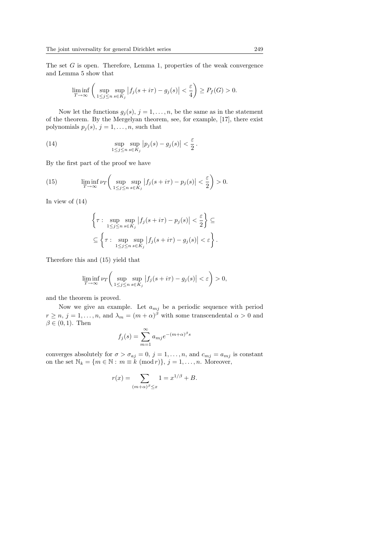The set G is open. Therefore, Lemma 1, properties of the weak convergence and Lemma 5 show that

$$
\liminf_{T \to \infty} \left( \sup_{1 \le j \le n} \sup_{s \in K_j} |f_j(s + i\tau) - g_j(s)| < \frac{\varepsilon}{4} \right) \ge P_f(G) > 0.
$$

Now let the functions  $g_j(s)$ ,  $j = 1, \ldots, n$ , be the same as in the statement of the theorem. By the Mergelyan theorem, see, for example, [17], there exist polynomials  $p_j(s)$ ,  $j = 1, \ldots, n$ , such that

(14) 
$$
\sup_{1 \leq j \leq n} \sup_{s \in K_j} |p_j(s) - g_j(s)| < \frac{\varepsilon}{2}.
$$

By the first part of the proof we have

(15) 
$$
\liminf_{T \to \infty} \nu_T \left( \sup_{1 \le j \le n} \sup_{s \in K_j} |f_j(s + i\tau) - p_j(s)| < \frac{\varepsilon}{2} \right) > 0.
$$

In view of (14)

$$
\left\{\tau: \sup_{1\leq j\leq n}\sup_{s\in K_j}|f_j(s+i\tau)-p_j(s)|<\frac{\varepsilon}{2}\right\}\subseteq
$$
  

$$
\subseteq \left\{\tau: \sup_{1\leq j\leq n}\sup_{s\in K_j}|f_j(s+i\tau)-g_j(s)|<\varepsilon\right\}.
$$

Therefore this and (15) yield that

$$
\liminf_{T \to \infty} \nu_T \left( \sup_{1 \le j \le n} \sup_{s \in K_j} |f_j(s + i\tau) - g_j(s)| < \varepsilon \right) > 0,
$$

and the theorem is proved.

Now we give an example. Let  $a_{mj}$  be a periodic sequence with period  $r \geq n, j = 1, \ldots, n$ , and  $\lambda_m = (m + \alpha)^{\beta}$  with some transcendental  $\alpha > 0$  and  $\beta \in (0,1)$ . Then

$$
f_j(s) = \sum_{m=1}^{\infty} a_{mj} e^{-(m+\alpha)^{\beta}s}
$$

converges absolutely for  $\sigma > \sigma_{aj} = 0$ ,  $j = 1, ..., n$ , and  $c_{mj} = a_{mj}$  is constant on the set  $\mathbb{N}_k = \{m \in \mathbb{N} : m \equiv k \pmod{r}\}, j = 1, \ldots, n$ . Moreover,

$$
r(x) = \sum_{(m+\alpha)^{\beta} \le x} 1 = x^{1/\beta} + B.
$$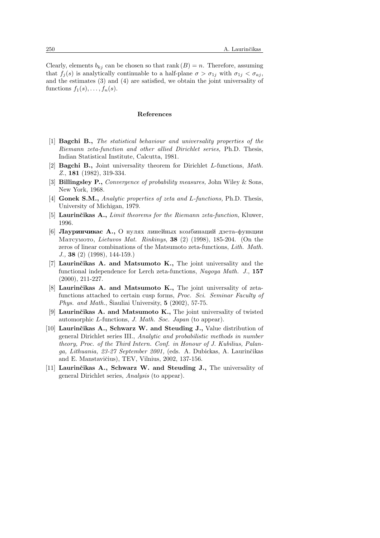Clearly, elements  $b_{kj}$  can be chosen so that rank  $(B) = n$ . Therefore, assuming that  $f_i(s)$  is analytically continuable to a half-plane  $\sigma > \sigma_{1i}$  with  $\sigma_{1i} < \sigma_{aj}$ , and the estimates (3) and (4) are satisfied, we obtain the joint universality of functions  $f_1(s), \ldots, f_n(s)$ .

#### References

- [1] Bagchi B., The statistical behaviour and universality properties of the Riemann zeta-function and other allied Dirichlet series, Ph.D. Thesis, Indian Statistical Institute, Calcutta, 1981.
- [2] **Bagchi B.**, Joint universality theorem for Dirichlet L-functions, Math. Z., 181 (1982), 319-334.
- [3] **Billingsley P.,** Convergence of probability measures, John Wiley & Sons, New York, 1968.
- [4] **Gonek S.M.,** Analytic properties of zeta and L-functions, Ph.D. Thesis, University of Michigan, 1979.
- [5] Laurinčikas  $A_{\cdot}$ , Limit theorems for the Riemann zeta-function, Kluwer, 1996.
- [6] Лауринчикас А., О нулях линейных комбинаций дзета-функции Matcymoto, Lietuvos Mat. Rinkinys, 38 $(2)$  (1998), 185-204. (On the zeros of linear combinations of the Matsumoto zeta-functions, Lith. Math. J., 38 (2) (1998), 144-159.)
- [7] Laurinčikas A. and Matsumoto K., The joint universality and the functional independence for Lerch zeta-functions, Nagoya Math. J., 157 (2000), 211-227.
- [8] Laurinčikas A. and Matsumoto K., The joint universality of zetafunctions attached to certain cusp forms, Proc. Sci. Seminar Faculty of Phys. and Math., Siauliai University,  $5$  (2002), 57-75.
- [9] Laurinčikas A. and Matsumoto K., The joint universality of twisted automorphic L-functions, J. Math. Soc. Japan (to appear).
- [10] Laurinčikas A., Schwarz W. and Steuding J., Value distribution of general Dirichlet series III., Analytic and probabilistic methods in number theory, Proc. of the Third Intern. Conf. in Honour of J. Kubilius, Palanga, Lithuania, 23-27 September 2001, (eds. A. Dubickas, A. Laurinčikas and E. Manstavičius), TEV, Vilnius, 2002, 137-156.
- [11] Laurinčikas A., Schwarz W. and Steuding J., The universality of general Dirichlet series, Analysis (to appear).